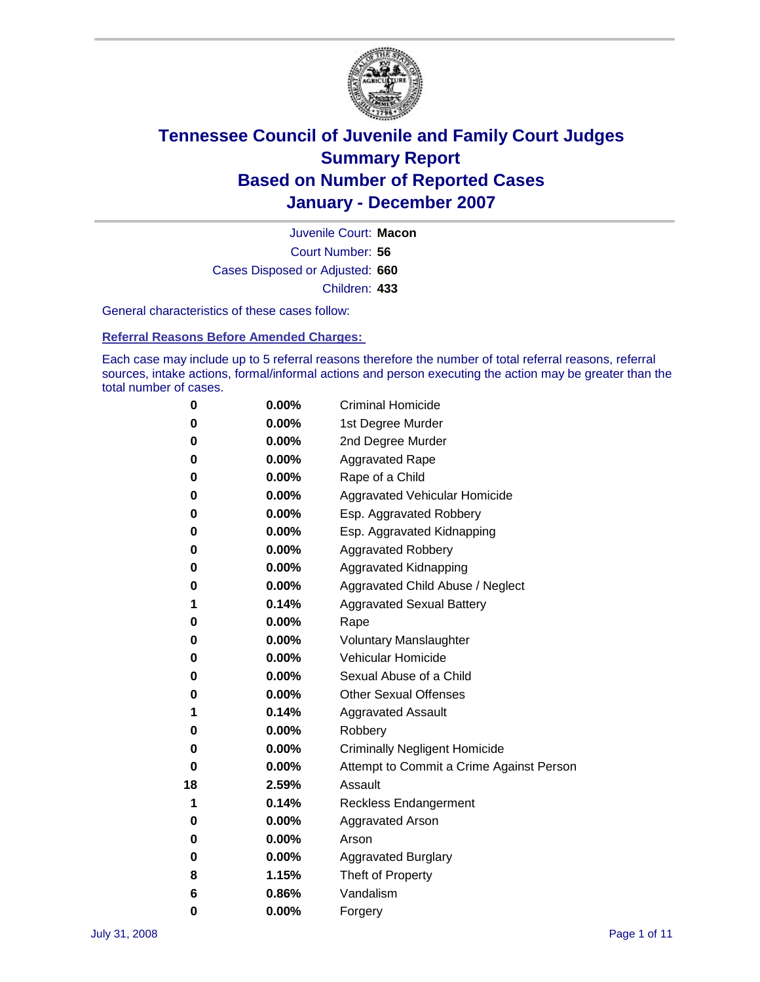

Court Number: **56** Juvenile Court: **Macon** Cases Disposed or Adjusted: **660** Children: **433**

General characteristics of these cases follow:

**Referral Reasons Before Amended Charges:** 

Each case may include up to 5 referral reasons therefore the number of total referral reasons, referral sources, intake actions, formal/informal actions and person executing the action may be greater than the total number of cases.

| 0  | 0.00%    | <b>Criminal Homicide</b>                 |
|----|----------|------------------------------------------|
| 0  | 0.00%    | 1st Degree Murder                        |
| 0  | $0.00\%$ | 2nd Degree Murder                        |
| 0  | 0.00%    | <b>Aggravated Rape</b>                   |
| 0  | 0.00%    | Rape of a Child                          |
| 0  | 0.00%    | Aggravated Vehicular Homicide            |
| 0  | 0.00%    | Esp. Aggravated Robbery                  |
| 0  | 0.00%    | Esp. Aggravated Kidnapping               |
| 0  | 0.00%    | <b>Aggravated Robbery</b>                |
| 0  | $0.00\%$ | Aggravated Kidnapping                    |
| 0  | 0.00%    | Aggravated Child Abuse / Neglect         |
| 1  | 0.14%    | <b>Aggravated Sexual Battery</b>         |
| 0  | 0.00%    | Rape                                     |
| 0  | 0.00%    | <b>Voluntary Manslaughter</b>            |
| 0  | 0.00%    | Vehicular Homicide                       |
| 0  | 0.00%    | Sexual Abuse of a Child                  |
| 0  | 0.00%    | <b>Other Sexual Offenses</b>             |
| 1  | 0.14%    | <b>Aggravated Assault</b>                |
| 0  | $0.00\%$ | Robbery                                  |
| 0  | 0.00%    | <b>Criminally Negligent Homicide</b>     |
| 0  | 0.00%    | Attempt to Commit a Crime Against Person |
| 18 | 2.59%    | Assault                                  |
| 1  | 0.14%    | <b>Reckless Endangerment</b>             |
| 0  | 0.00%    | <b>Aggravated Arson</b>                  |
| 0  | 0.00%    | Arson                                    |
| 0  | 0.00%    | <b>Aggravated Burglary</b>               |
| 8  | 1.15%    | Theft of Property                        |
| 6  | 0.86%    | Vandalism                                |
| 0  | 0.00%    | Forgery                                  |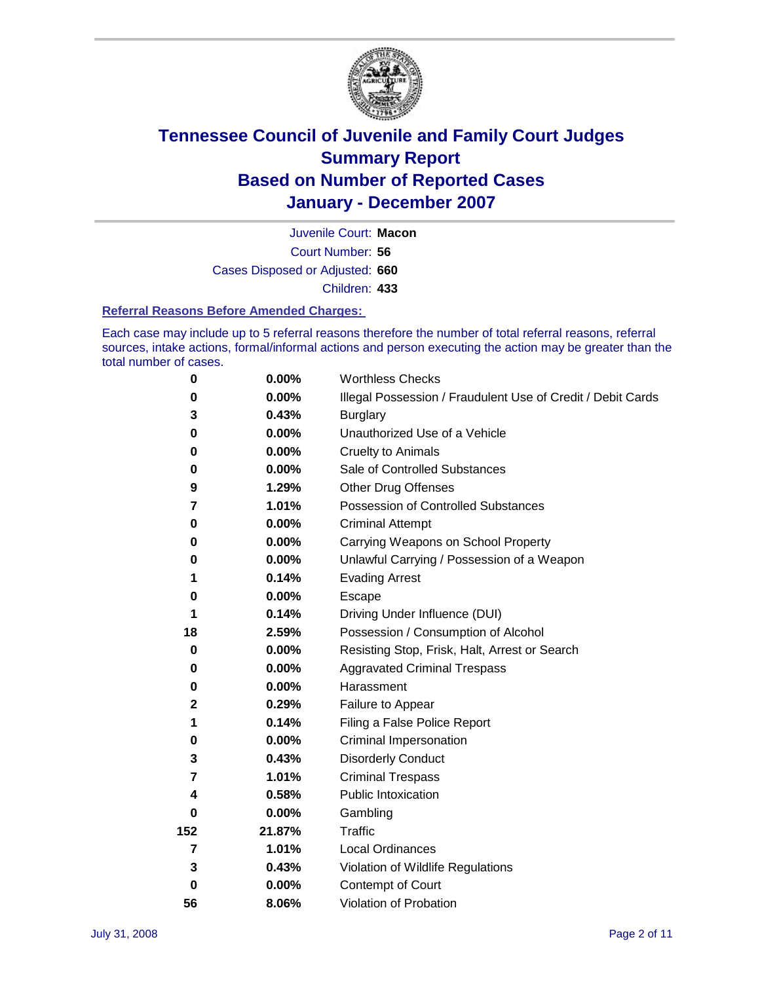

Court Number: **56** Juvenile Court: **Macon** Cases Disposed or Adjusted: **660** Children: **433**

#### **Referral Reasons Before Amended Charges:**

Each case may include up to 5 referral reasons therefore the number of total referral reasons, referral sources, intake actions, formal/informal actions and person executing the action may be greater than the total number of cases.

| 0              | 0.00%  | <b>Worthless Checks</b>                                     |
|----------------|--------|-------------------------------------------------------------|
| 0              | 0.00%  | Illegal Possession / Fraudulent Use of Credit / Debit Cards |
| 3              | 0.43%  | <b>Burglary</b>                                             |
| 0              | 0.00%  | Unauthorized Use of a Vehicle                               |
| $\bf{0}$       | 0.00%  | <b>Cruelty to Animals</b>                                   |
| 0              | 0.00%  | Sale of Controlled Substances                               |
| 9              | 1.29%  | <b>Other Drug Offenses</b>                                  |
| 7              | 1.01%  | <b>Possession of Controlled Substances</b>                  |
| 0              | 0.00%  | <b>Criminal Attempt</b>                                     |
| 0              | 0.00%  | Carrying Weapons on School Property                         |
| 0              | 0.00%  | Unlawful Carrying / Possession of a Weapon                  |
| 1              | 0.14%  | <b>Evading Arrest</b>                                       |
| 0              | 0.00%  | Escape                                                      |
| 1              | 0.14%  | Driving Under Influence (DUI)                               |
| 18             | 2.59%  | Possession / Consumption of Alcohol                         |
| 0              | 0.00%  | Resisting Stop, Frisk, Halt, Arrest or Search               |
| 0              | 0.00%  | <b>Aggravated Criminal Trespass</b>                         |
| 0              | 0.00%  | Harassment                                                  |
| $\mathbf 2$    | 0.29%  | Failure to Appear                                           |
| 1              | 0.14%  | Filing a False Police Report                                |
| 0              | 0.00%  | Criminal Impersonation                                      |
| 3              | 0.43%  | <b>Disorderly Conduct</b>                                   |
| $\overline{7}$ | 1.01%  | <b>Criminal Trespass</b>                                    |
| 4              | 0.58%  | <b>Public Intoxication</b>                                  |
| 0              | 0.00%  | Gambling                                                    |
| 152            | 21.87% | Traffic                                                     |
| 7              | 1.01%  | <b>Local Ordinances</b>                                     |
| 3              | 0.43%  | Violation of Wildlife Regulations                           |
| $\bf{0}$       | 0.00%  | Contempt of Court                                           |
| 56             | 8.06%  | Violation of Probation                                      |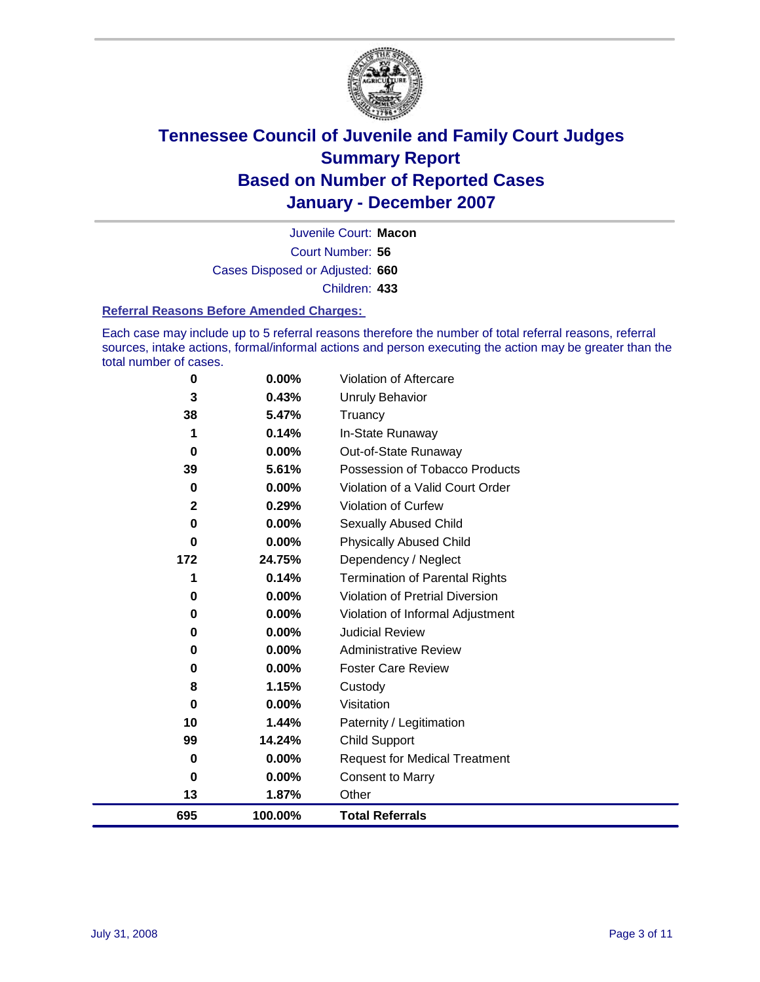

Court Number: **56** Juvenile Court: **Macon** Cases Disposed or Adjusted: **660** Children: **433**

#### **Referral Reasons Before Amended Charges:**

Each case may include up to 5 referral reasons therefore the number of total referral reasons, referral sources, intake actions, formal/informal actions and person executing the action may be greater than the total number of cases.

| 0        | 0.00%   | Violation of Aftercare                 |
|----------|---------|----------------------------------------|
| 3        | 0.43%   | Unruly Behavior                        |
| 38       | 5.47%   | Truancy                                |
| 1        | 0.14%   | In-State Runaway                       |
| $\bf{0}$ | 0.00%   | Out-of-State Runaway                   |
| 39       | 5.61%   | Possession of Tobacco Products         |
| 0        | 0.00%   | Violation of a Valid Court Order       |
| 2        | 0.29%   | Violation of Curfew                    |
| 0        | 0.00%   | Sexually Abused Child                  |
| $\bf{0}$ | 0.00%   | <b>Physically Abused Child</b>         |
| 172      | 24.75%  | Dependency / Neglect                   |
| 1        | 0.14%   | <b>Termination of Parental Rights</b>  |
| 0        | 0.00%   | <b>Violation of Pretrial Diversion</b> |
| 0        | 0.00%   | Violation of Informal Adjustment       |
| 0        | 0.00%   | <b>Judicial Review</b>                 |
| 0        | 0.00%   | <b>Administrative Review</b>           |
| 0        | 0.00%   | <b>Foster Care Review</b>              |
| 8        | 1.15%   | Custody                                |
| 0        | 0.00%   | Visitation                             |
| 10       | 1.44%   | Paternity / Legitimation               |
| 99       | 14.24%  | <b>Child Support</b>                   |
| 0        | 0.00%   | <b>Request for Medical Treatment</b>   |
| 0        | 0.00%   | <b>Consent to Marry</b>                |
| 13       | 1.87%   | Other                                  |
| 695      | 100.00% | <b>Total Referrals</b>                 |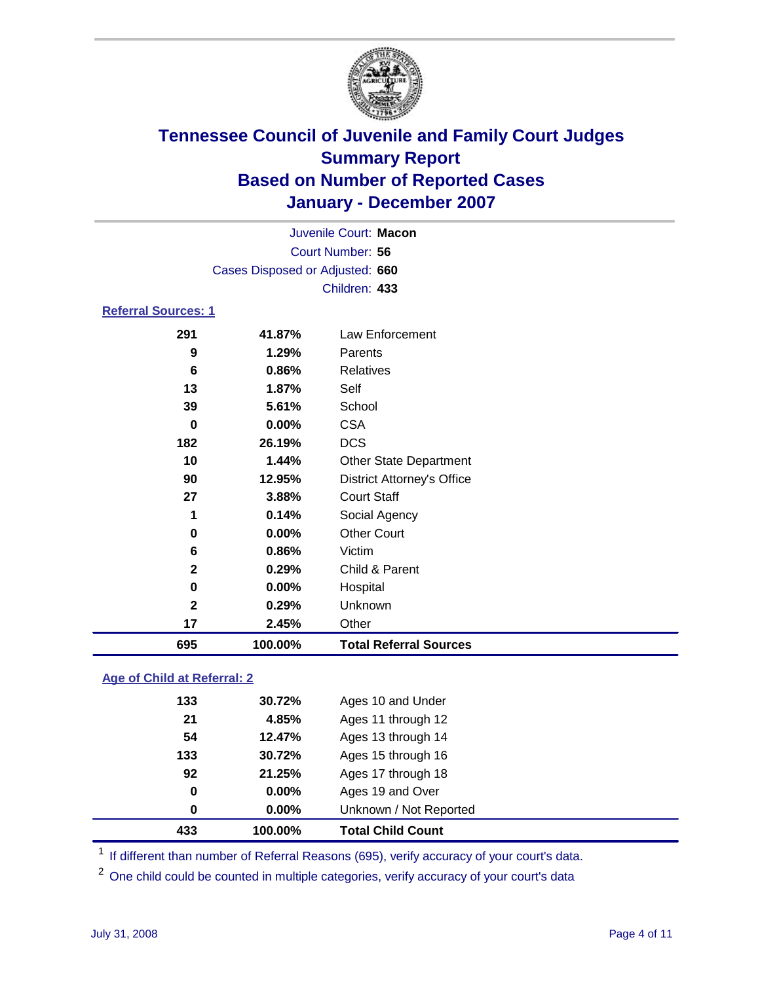

| Juvenile Court: Macon           |  |
|---------------------------------|--|
| Court Number: 56                |  |
| Cases Disposed or Adjusted: 660 |  |
| Children: 433                   |  |

#### **Referral Sources: 1**

| 695          | 100.00%  | <b>Total Referral Sources</b>     |
|--------------|----------|-----------------------------------|
| 17           | 2.45%    | Other                             |
| $\mathbf{2}$ | 0.29%    | Unknown                           |
| 0            | $0.00\%$ | Hospital                          |
| $\mathbf{2}$ | 0.29%    | Child & Parent                    |
| 6            | 0.86%    | Victim                            |
| 0            | $0.00\%$ | <b>Other Court</b>                |
| 1            | 0.14%    | Social Agency                     |
| 27           | 3.88%    | <b>Court Staff</b>                |
| 90           | 12.95%   | <b>District Attorney's Office</b> |
| 10           | 1.44%    | <b>Other State Department</b>     |
| 182          | 26.19%   | <b>DCS</b>                        |
| 0            | 0.00%    | <b>CSA</b>                        |
| 39           | 5.61%    | School                            |
| 13           | 1.87%    | Self                              |
| 6            | 0.86%    | Relatives                         |
| 9            | 1.29%    | Parents                           |
| 291          | 41.87%   | Law Enforcement                   |
|              |          |                                   |

### **Age of Child at Referral: 2**

| 433<br>100.00% | <b>Total Child Count</b> |
|----------------|--------------------------|
| $0.00\%$<br>0  | Unknown / Not Reported   |
| $0.00\%$<br>0  | Ages 19 and Over         |
| 92<br>21.25%   | Ages 17 through 18       |
| 133<br>30.72%  | Ages 15 through 16       |
| 54<br>12.47%   | Ages 13 through 14       |
| 21<br>4.85%    | Ages 11 through 12       |
| 133<br>30.72%  | Ages 10 and Under        |
|                |                          |

<sup>1</sup> If different than number of Referral Reasons (695), verify accuracy of your court's data.

One child could be counted in multiple categories, verify accuracy of your court's data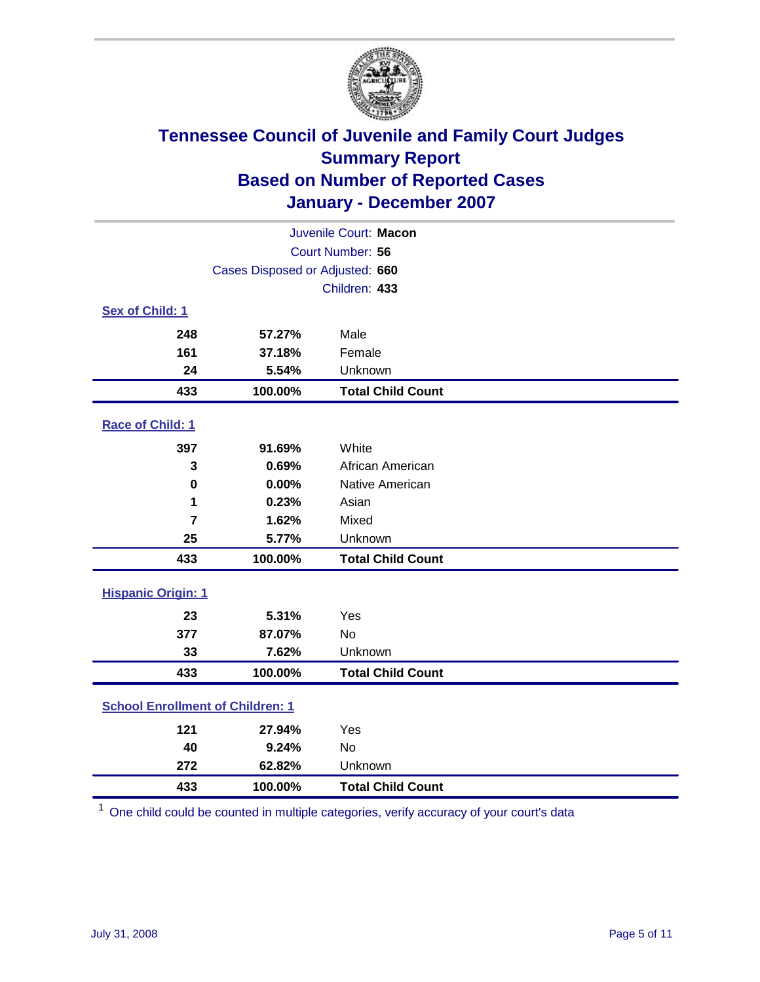

|                                         |                                 | Juvenile Court: Macon    |  |
|-----------------------------------------|---------------------------------|--------------------------|--|
|                                         | Court Number: 56                |                          |  |
|                                         | Cases Disposed or Adjusted: 660 |                          |  |
|                                         |                                 | Children: 433            |  |
| Sex of Child: 1                         |                                 |                          |  |
| 248                                     | 57.27%                          | Male                     |  |
| 161                                     | 37.18%                          | Female                   |  |
| 24                                      | 5.54%                           | Unknown                  |  |
| 433                                     | 100.00%                         | <b>Total Child Count</b> |  |
| Race of Child: 1                        |                                 |                          |  |
| 397                                     | 91.69%                          | White                    |  |
| 3                                       | 0.69%                           | African American         |  |
| $\bf{0}$                                | 0.00%                           | Native American          |  |
| 1                                       | 0.23%                           | Asian                    |  |
| $\overline{7}$                          | 1.62%                           | Mixed                    |  |
| 25                                      | 5.77%                           | Unknown                  |  |
| 433                                     | 100.00%                         | <b>Total Child Count</b> |  |
| <b>Hispanic Origin: 1</b>               |                                 |                          |  |
| 23                                      | 5.31%                           | Yes                      |  |
| 377                                     | 87.07%                          | <b>No</b>                |  |
| 33                                      | 7.62%                           | Unknown                  |  |
| 433                                     | 100.00%                         | <b>Total Child Count</b> |  |
| <b>School Enrollment of Children: 1</b> |                                 |                          |  |
| 121                                     | 27.94%                          | Yes                      |  |
| 40                                      | 9.24%                           | No                       |  |
| 272                                     | 62.82%                          | Unknown                  |  |
| 433                                     | 100.00%                         | <b>Total Child Count</b> |  |

One child could be counted in multiple categories, verify accuracy of your court's data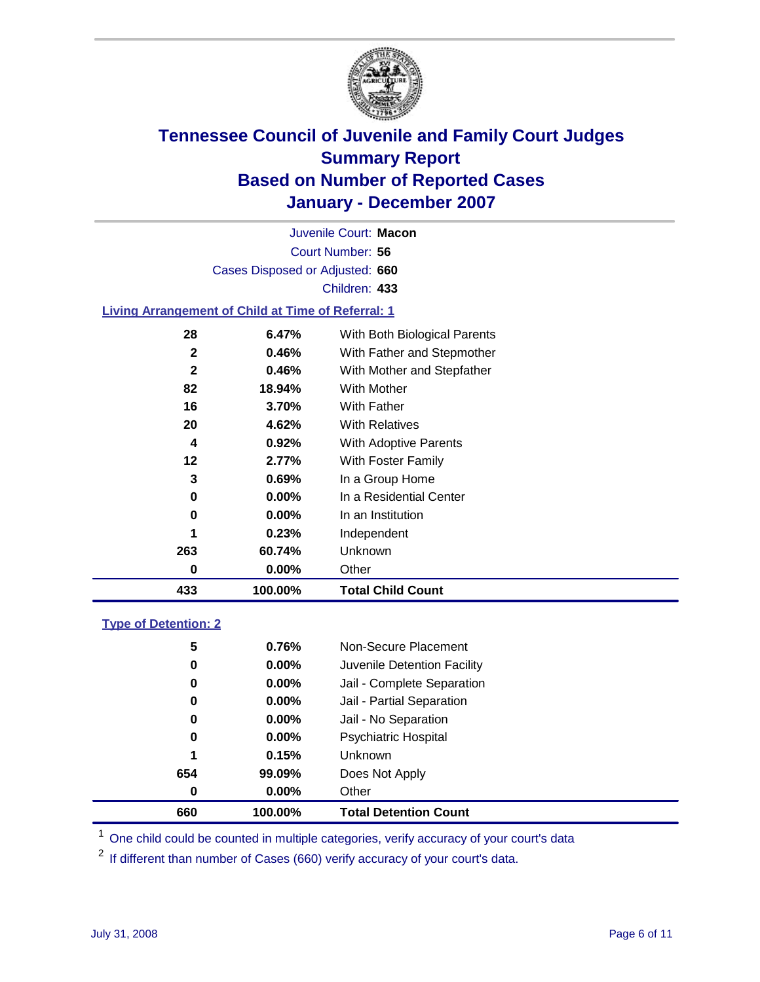

Court Number: **56** Juvenile Court: **Macon** Cases Disposed or Adjusted: **660** Children: **433**

#### **Living Arrangement of Child at Time of Referral: 1**

| 433 | 100.00%  | <b>Total Child Count</b>     |
|-----|----------|------------------------------|
| 0   | $0.00\%$ | Other                        |
| 263 | 60.74%   | <b>Unknown</b>               |
| 1   | 0.23%    | Independent                  |
| 0   | $0.00\%$ | In an Institution            |
| 0   | $0.00\%$ | In a Residential Center      |
| 3   | 0.69%    | In a Group Home              |
| 12  | 2.77%    | With Foster Family           |
| 4   | 0.92%    | With Adoptive Parents        |
| 20  | 4.62%    | <b>With Relatives</b>        |
| 16  | 3.70%    | <b>With Father</b>           |
| 82  | 18.94%   | <b>With Mother</b>           |
| 2   | 0.46%    | With Mother and Stepfather   |
| 2   | 0.46%    | With Father and Stepmother   |
| 28  | 6.47%    | With Both Biological Parents |

#### **Type of Detention: 2**

| 660 | 100.00%  | <b>Total Detention Count</b> |  |
|-----|----------|------------------------------|--|
| 0   | 0.00%    | Other                        |  |
| 654 | 99.09%   | Does Not Apply               |  |
| 1   | 0.15%    | <b>Unknown</b>               |  |
| 0   | $0.00\%$ | <b>Psychiatric Hospital</b>  |  |
| 0   | $0.00\%$ | Jail - No Separation         |  |
| 0   | $0.00\%$ | Jail - Partial Separation    |  |
| 0   | $0.00\%$ | Jail - Complete Separation   |  |
| 0   | $0.00\%$ | Juvenile Detention Facility  |  |
| 5   | 0.76%    | Non-Secure Placement         |  |
|     |          |                              |  |

<sup>1</sup> One child could be counted in multiple categories, verify accuracy of your court's data

<sup>2</sup> If different than number of Cases (660) verify accuracy of your court's data.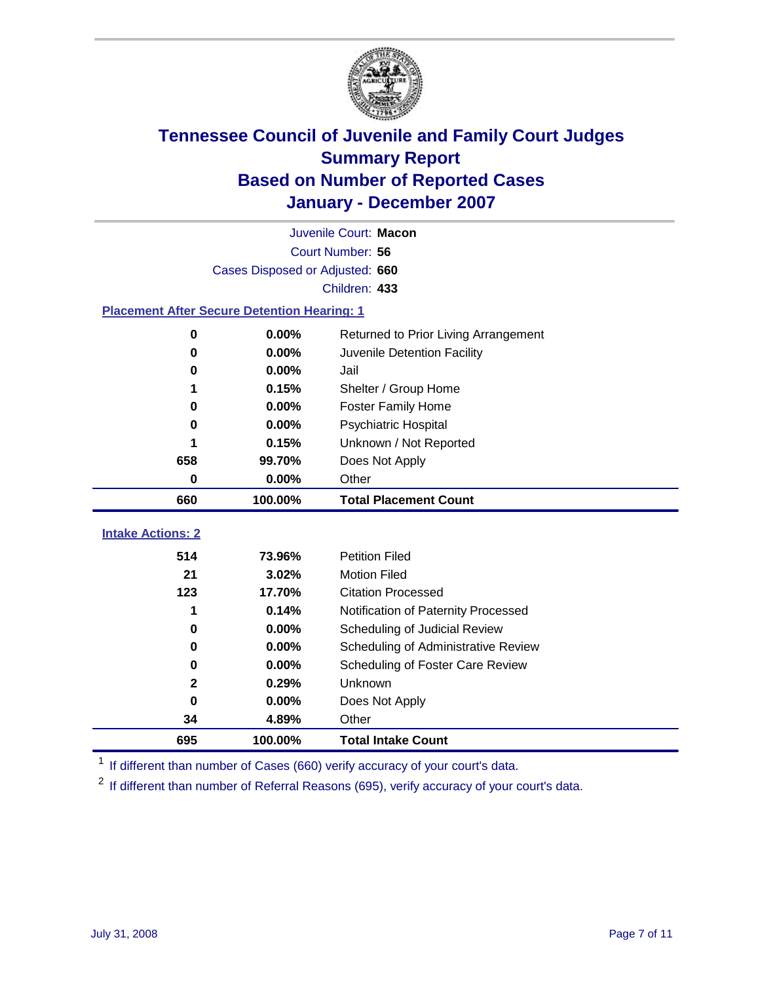

|                                                    | Juvenile Court: Macon           |                                      |  |  |
|----------------------------------------------------|---------------------------------|--------------------------------------|--|--|
|                                                    |                                 | Court Number: 56                     |  |  |
|                                                    | Cases Disposed or Adjusted: 660 |                                      |  |  |
|                                                    |                                 | Children: 433                        |  |  |
| <b>Placement After Secure Detention Hearing: 1</b> |                                 |                                      |  |  |
| $\bf{0}$                                           | 0.00%                           | Returned to Prior Living Arrangement |  |  |
| $\bf{0}$                                           | 0.00%                           | Juvenile Detention Facility          |  |  |
| 0                                                  | 0.00%                           | Jail                                 |  |  |
| 1                                                  | 0.15%                           | Shelter / Group Home                 |  |  |
| $\bf{0}$                                           | 0.00%                           | <b>Foster Family Home</b>            |  |  |
| 0                                                  | 0.00%                           | Psychiatric Hospital                 |  |  |
|                                                    | 0.15%                           | Unknown / Not Reported               |  |  |
| 658                                                | 99.70%                          | Does Not Apply                       |  |  |
| 0                                                  | 0.00%                           | Other                                |  |  |
| 660                                                | 100.00%                         | <b>Total Placement Count</b>         |  |  |
|                                                    |                                 |                                      |  |  |
| <b>Intake Actions: 2</b>                           |                                 |                                      |  |  |
| 514                                                | 73.96%                          | <b>Petition Filed</b>                |  |  |
| 21                                                 | 3.02%                           | <b>Motion Filed</b>                  |  |  |
| 123                                                | 17.70%                          | <b>Citation Processed</b>            |  |  |
| 1                                                  | 0.14%                           | Notification of Paternity Processed  |  |  |
| $\bf{0}$                                           | 0.00%                           | Scheduling of Judicial Review        |  |  |
| 0                                                  | 0.00%                           | Scheduling of Administrative Review  |  |  |
| 0                                                  | 0.00%                           | Scheduling of Foster Care Review     |  |  |
| $\mathbf 2$                                        | 0.29%                           | Unknown                              |  |  |
| $\bf{0}$                                           | 0.00%                           | Does Not Apply                       |  |  |
| 34                                                 | 4.89%                           | Other                                |  |  |
| 695                                                | 100.00%                         | <b>Total Intake Count</b>            |  |  |

<sup>1</sup> If different than number of Cases (660) verify accuracy of your court's data.

<sup>2</sup> If different than number of Referral Reasons (695), verify accuracy of your court's data.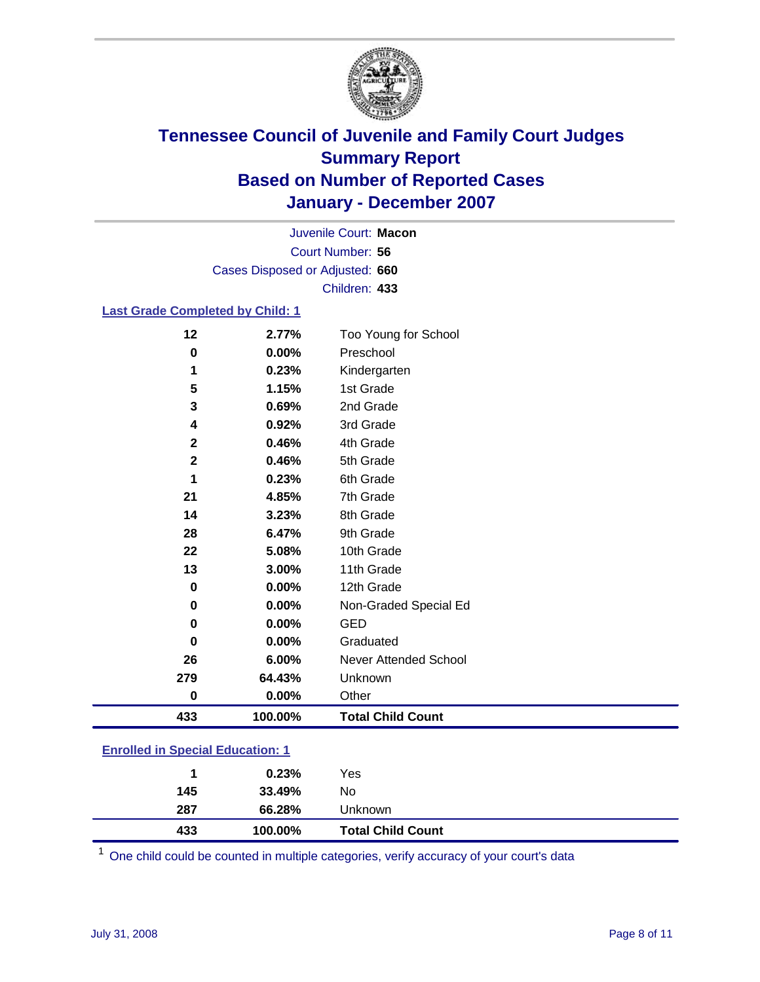

Court Number: **56** Juvenile Court: **Macon** Cases Disposed or Adjusted: **660** Children: **433**

### **Last Grade Completed by Child: 1**

| 433         | 100.00% | <b>Total Child Count</b> |
|-------------|---------|--------------------------|
| 0           | 0.00%   | Other                    |
| 279         | 64.43%  | Unknown                  |
| 26          | 6.00%   | Never Attended School    |
| $\bf{0}$    | 0.00%   | Graduated                |
| 0           | 0.00%   | <b>GED</b>               |
| 0           | 0.00%   | Non-Graded Special Ed    |
| $\bf{0}$    | 0.00%   | 12th Grade               |
| 13          | 3.00%   | 11th Grade               |
| 22          | 5.08%   | 10th Grade               |
| 28          | 6.47%   | 9th Grade                |
| 14          | 3.23%   | 8th Grade                |
| 21          | 4.85%   | 7th Grade                |
| 1           | 0.23%   | 6th Grade                |
| $\mathbf 2$ | 0.46%   | 5th Grade                |
| $\mathbf 2$ | 0.46%   | 4th Grade                |
| 4           | 0.92%   | 3rd Grade                |
| 3           | 0.69%   | 2nd Grade                |
| 5           | 1.15%   | 1st Grade                |
| 1           | 0.23%   | Kindergarten             |
| 0           | 0.00%   | Preschool                |
| 12          | 2.77%   | Too Young for School     |

### **Enrolled in Special Education: 1**

One child could be counted in multiple categories, verify accuracy of your court's data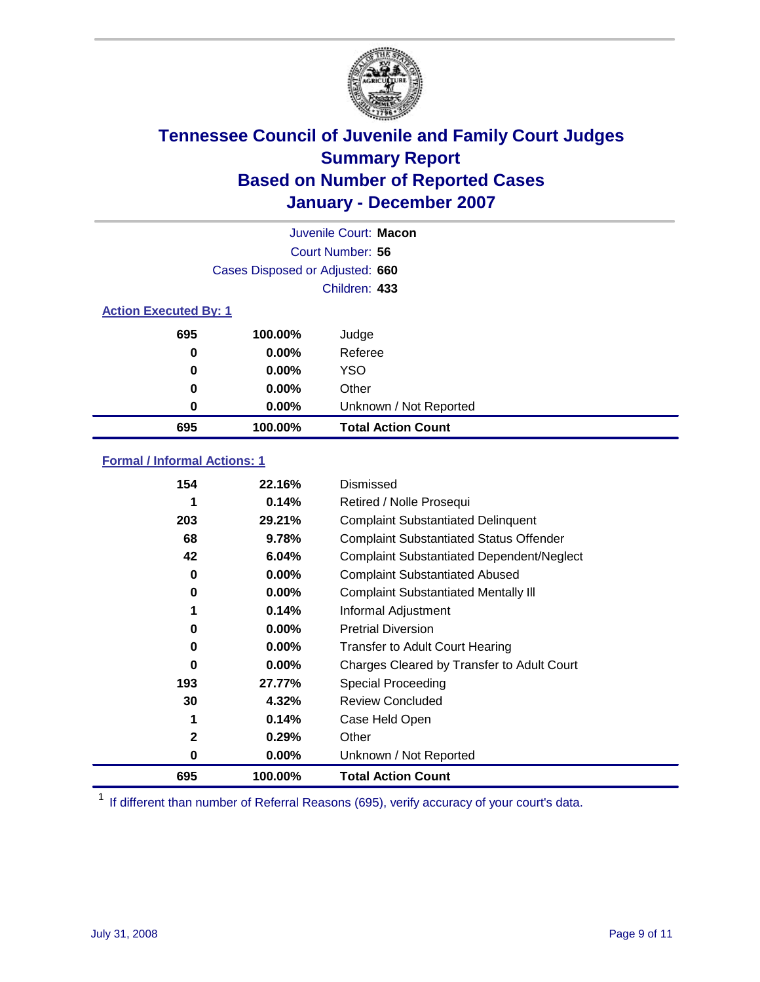

|                              |                                 | Juvenile Court: Macon     |
|------------------------------|---------------------------------|---------------------------|
|                              |                                 | Court Number: 56          |
|                              | Cases Disposed or Adjusted: 660 |                           |
|                              |                                 | Children: 433             |
| <b>Action Executed By: 1</b> |                                 |                           |
| 695                          | 100.00%                         | Judge                     |
| 0                            | $0.00\%$                        | Referee                   |
| 0                            | $0.00\%$                        | <b>YSO</b>                |
| 0                            | 0.00%                           | Other                     |
| 0                            | $0.00\%$                        | Unknown / Not Reported    |
| 695                          | 100.00%                         | <b>Total Action Count</b> |

### **Formal / Informal Actions: 1**

| 154          | 22.16%   | Dismissed                                        |
|--------------|----------|--------------------------------------------------|
|              | 0.14%    | Retired / Nolle Prosequi                         |
| 203          | 29.21%   | <b>Complaint Substantiated Delinquent</b>        |
| 68           | 9.78%    | <b>Complaint Substantiated Status Offender</b>   |
| 42           | 6.04%    | <b>Complaint Substantiated Dependent/Neglect</b> |
| 0            | $0.00\%$ | <b>Complaint Substantiated Abused</b>            |
| 0            | $0.00\%$ | <b>Complaint Substantiated Mentally III</b>      |
| 1            | 0.14%    | Informal Adjustment                              |
| 0            | $0.00\%$ | <b>Pretrial Diversion</b>                        |
| 0            | $0.00\%$ | <b>Transfer to Adult Court Hearing</b>           |
| 0            | $0.00\%$ | Charges Cleared by Transfer to Adult Court       |
| 193          | 27.77%   | Special Proceeding                               |
| 30           | 4.32%    | <b>Review Concluded</b>                          |
| 1            | 0.14%    | Case Held Open                                   |
| $\mathbf{2}$ | 0.29%    | Other                                            |
| 0            | $0.00\%$ | Unknown / Not Reported                           |
| 695          | 100.00%  | <b>Total Action Count</b>                        |

<sup>1</sup> If different than number of Referral Reasons (695), verify accuracy of your court's data.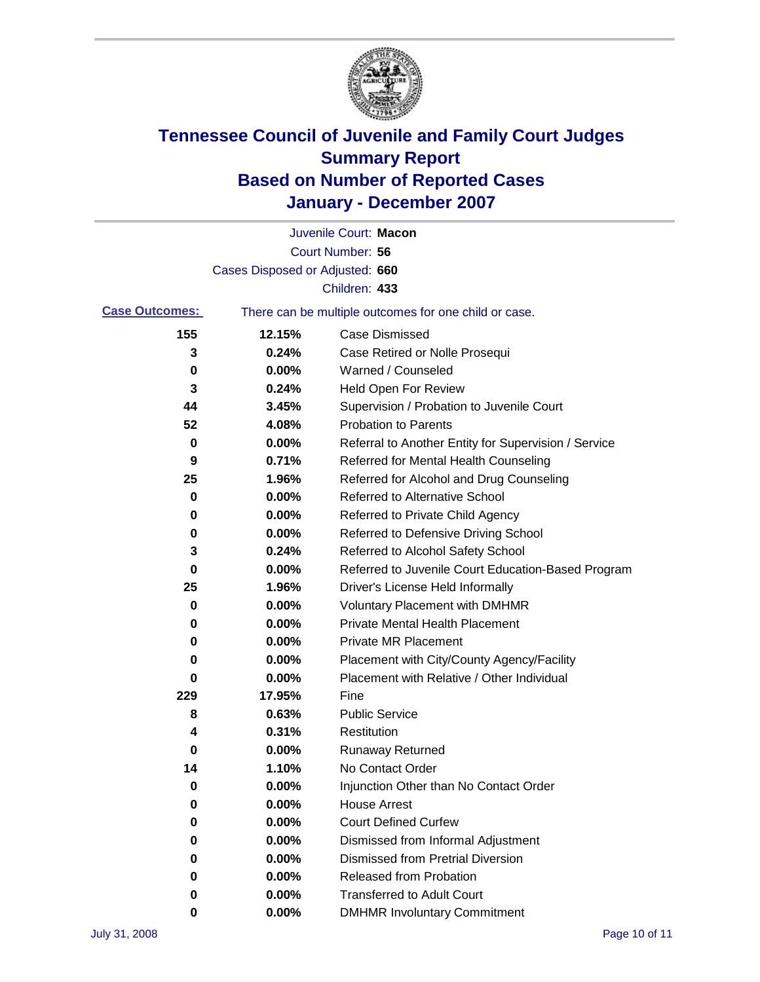

|                       |                                 | Juvenile Court: Macon                                 |
|-----------------------|---------------------------------|-------------------------------------------------------|
|                       |                                 | Court Number: 56                                      |
|                       | Cases Disposed or Adjusted: 660 |                                                       |
|                       |                                 | Children: 433                                         |
| <b>Case Outcomes:</b> |                                 | There can be multiple outcomes for one child or case. |
| 155                   | 12.15%                          | <b>Case Dismissed</b>                                 |
| 3                     | 0.24%                           | Case Retired or Nolle Prosequi                        |
| 0                     | 0.00%                           | Warned / Counseled                                    |
| 3                     | 0.24%                           | Held Open For Review                                  |
| 44                    | 3.45%                           | Supervision / Probation to Juvenile Court             |
| 52                    | 4.08%                           | <b>Probation to Parents</b>                           |
| 0                     | 0.00%                           | Referral to Another Entity for Supervision / Service  |
| 9                     | 0.71%                           | Referred for Mental Health Counseling                 |
| 25                    | 1.96%                           | Referred for Alcohol and Drug Counseling              |
| 0                     | 0.00%                           | <b>Referred to Alternative School</b>                 |
| 0                     | 0.00%                           | Referred to Private Child Agency                      |
| 0                     | 0.00%                           | Referred to Defensive Driving School                  |
| 3                     | 0.24%                           | Referred to Alcohol Safety School                     |
| 0                     | 0.00%                           | Referred to Juvenile Court Education-Based Program    |
| 25                    | 1.96%                           | Driver's License Held Informally                      |
| 0                     | 0.00%                           | <b>Voluntary Placement with DMHMR</b>                 |
| 0                     | 0.00%                           | <b>Private Mental Health Placement</b>                |
| 0                     | 0.00%                           | <b>Private MR Placement</b>                           |
| 0                     | 0.00%                           | Placement with City/County Agency/Facility            |
| 0                     | 0.00%                           | Placement with Relative / Other Individual            |
| 229                   | 17.95%                          | Fine                                                  |
| 8                     | 0.63%                           | <b>Public Service</b>                                 |
| 4                     | 0.31%                           | Restitution                                           |
| 0                     | 0.00%                           | <b>Runaway Returned</b>                               |
| 14                    | 1.10%                           | No Contact Order                                      |
| 0                     | 0.00%                           | Injunction Other than No Contact Order                |
| 0                     | 0.00%                           | <b>House Arrest</b>                                   |
| 0                     | 0.00%                           | <b>Court Defined Curfew</b>                           |
| 0                     | 0.00%                           | Dismissed from Informal Adjustment                    |
| 0                     | 0.00%                           | <b>Dismissed from Pretrial Diversion</b>              |
| 0                     | 0.00%                           | <b>Released from Probation</b>                        |
| 0                     | 0.00%                           | <b>Transferred to Adult Court</b>                     |
| 0                     | 0.00%                           | <b>DMHMR Involuntary Commitment</b>                   |